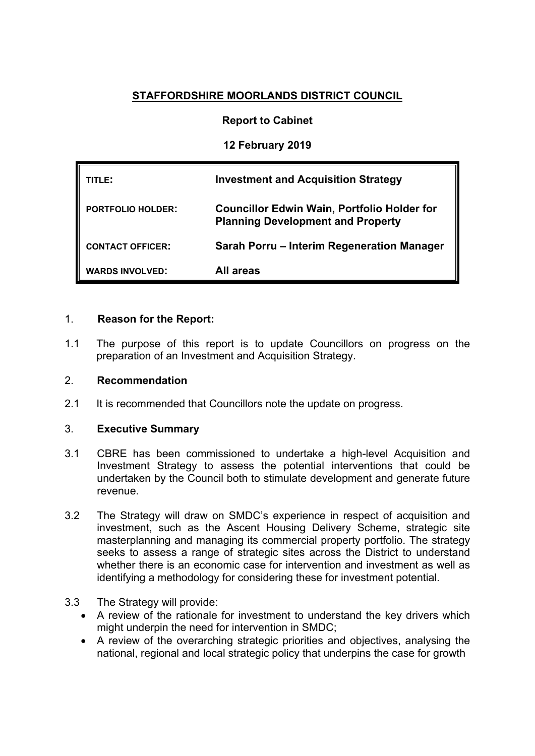# **STAFFORDSHIRE MOORLANDS DISTRICT COUNCIL**

## **Report to Cabinet**

**12 February 2019**

| TLE:                     | <b>Investment and Acquisition Strategy</b>                                                     |
|--------------------------|------------------------------------------------------------------------------------------------|
| <b>PORTFOLIO HOLDER:</b> | <b>Councillor Edwin Wain, Portfolio Holder for</b><br><b>Planning Development and Property</b> |
| <b>CONTACT OFFICER:</b>  | Sarah Porru - Interim Regeneration Manager                                                     |
| <b>WARDS INVOLVED:</b>   | All areas                                                                                      |

## 1. **Reason for the Report:**

1.1 The purpose of this report is to update Councillors on progress on the preparation of an Investment and Acquisition Strategy.

#### 2. **Recommendation**

2.1 It is recommended that Councillors note the update on progress.

### 3. **Executive Summary**

- 3.1 CBRE has been commissioned to undertake a high-level Acquisition and Investment Strategy to assess the potential interventions that could be undertaken by the Council both to stimulate development and generate future revenue.
- 3.2 The Strategy will draw on SMDC's experience in respect of acquisition and investment, such as the Ascent Housing Delivery Scheme, strategic site masterplanning and managing its commercial property portfolio. The strategy seeks to assess a range of strategic sites across the District to understand whether there is an economic case for intervention and investment as well as identifying a methodology for considering these for investment potential.

#### 3.3 The Strategy will provide:

- A review of the rationale for investment to understand the key drivers which might underpin the need for intervention in SMDC;
- A review of the overarching strategic priorities and objectives, analysing the national, regional and local strategic policy that underpins the case for growth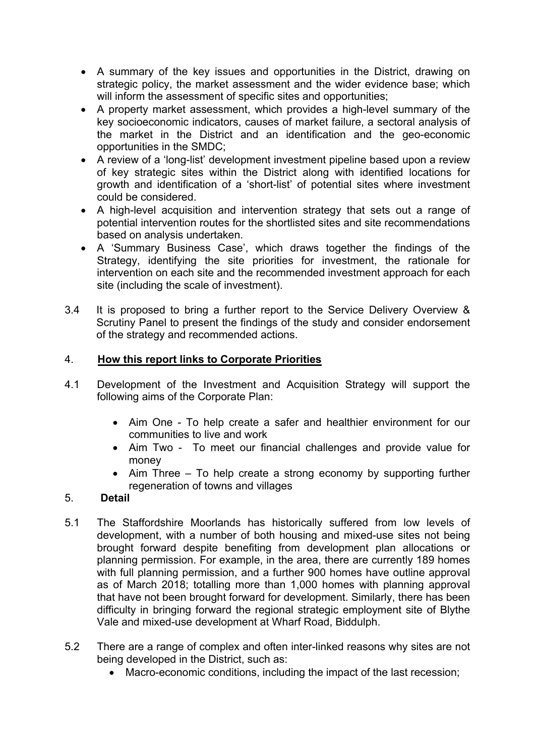- A summary of the key issues and opportunities in the District, drawing on strategic policy, the market assessment and the wider evidence base; which will inform the assessment of specific sites and opportunities;
- A property market assessment, which provides a high-level summary of the key socioeconomic indicators, causes of market failure, a sectoral analysis of the market in the District and an identification and the geo-economic opportunities in the SMDC;
- A review of a 'long-list' development investment pipeline based upon a review of key strategic sites within the District along with identified locations for growth and identification of a 'short-list' of potential sites where investment could be considered.
- A high-level acquisition and intervention strategy that sets out a range of potential intervention routes for the shortlisted sites and site recommendations based on analysis undertaken.
- A 'Summary Business Case', which draws together the findings of the Strategy, identifying the site priorities for investment, the rationale for intervention on each site and the recommended investment approach for each site (including the scale of investment).
- 3.4 It is proposed to bring a further report to the Service Delivery Overview & Scrutiny Panel to present the findings of the study and consider endorsement of the strategy and recommended actions.

# 4. **How this report links to Corporate Priorities**

- 4.1 Development of the Investment and Acquisition Strategy will support the following aims of the Corporate Plan:
	- Aim One To help create a safer and healthier environment for our communities to live and work
	- Aim Two To meet our financial challenges and provide value for money
	- Aim Three To help create a strong economy by supporting further regeneration of towns and villages

#### 5. **Detail**

- 5.1 The Staffordshire Moorlands has historically suffered from low levels of development, with a number of both housing and mixed-use sites not being brought forward despite benefiting from development plan allocations or planning permission. For example, in the area, there are currently 189 homes with full planning permission, and a further 900 homes have outline approval as of March 2018; totalling more than 1,000 homes with planning approval that have not been brought forward for development. Similarly, there has been difficulty in bringing forward the regional strategic employment site of Blythe Vale and mixed-use development at Wharf Road, Biddulph.
- 5.2 There are a range of complex and often inter-linked reasons why sites are not being developed in the District, such as:
	- Macro-economic conditions, including the impact of the last recession;